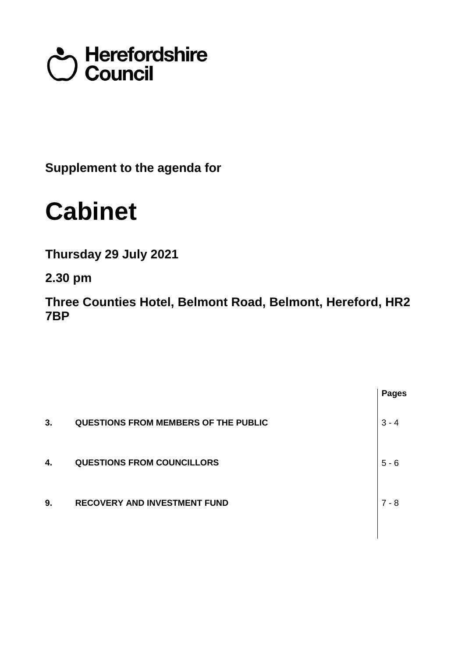# terefordshire<br>Council

**Supplement to the agenda for**

## **Cabinet**

**Thursday 29 July 2021**

**2.30 pm**

**Three Counties Hotel, Belmont Road, Belmont, Hereford, HR2 7BP**

|    |                                             | <b>Pages</b> |
|----|---------------------------------------------|--------------|
| 3. | <b>QUESTIONS FROM MEMBERS OF THE PUBLIC</b> | $3 - 4$      |
| 4. | <b>QUESTIONS FROM COUNCILLORS</b>           | $5 - 6$      |
| 9. | <b>RECOVERY AND INVESTMENT FUND</b>         | $7 - 8$      |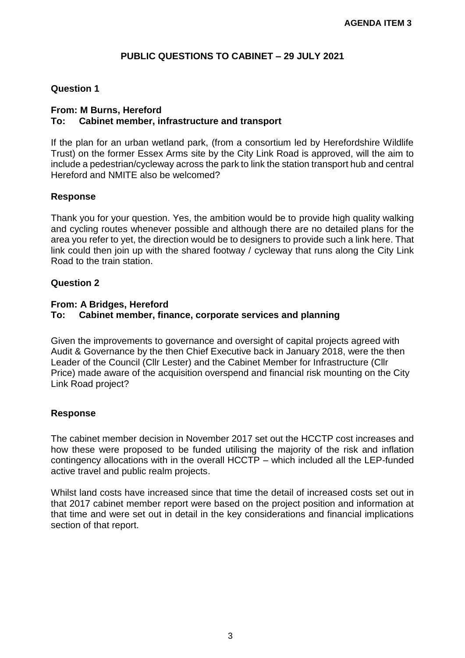#### **PUBLIC QUESTIONS TO CABINET – 29 JULY 2021**

#### **Question 1**

#### **From: M Burns, Hereford To: Cabinet member, infrastructure and transport**

If the plan for an urban wetland park, (from a consortium led by Herefordshire Wildlife Trust) on the former Essex Arms site by the City Link Road is approved, will the aim to include a pedestrian/cycleway across the park to link the station transport hub and central Hereford and NMITE also be welcomed?

#### **Response**

Thank you for your question. Yes, the ambition would be to provide high quality walking and cycling routes whenever possible and although there are no detailed plans for the area you refer to yet, the direction would be to designers to provide such a link here. That link could then join up with the shared footway / cycleway that runs along the City Link Road to the train station.

#### **Question 2**

#### **From: A Bridges, Hereford**

#### **To: Cabinet member, finance, corporate services and planning**

Given the improvements to governance and oversight of capital projects agreed with Audit & Governance by the then Chief Executive back in January 2018, were the then Leader of the Council (Cllr Lester) and the Cabinet Member for Infrastructure (Cllr Price) made aware of the acquisition overspend and financial risk mounting on the City Link Road project?

#### **Response**

The cabinet member decision in November 2017 set out the HCCTP cost increases and how these were proposed to be funded utilising the majority of the risk and inflation contingency allocations with in the overall HCCTP – which included all the LEP-funded active travel and public realm projects.

Whilst land costs have increased since that time the detail of increased costs set out in that 2017 cabinet member report were based on the project position and information at that time and were set out in detail in the key considerations and financial implications section of that report.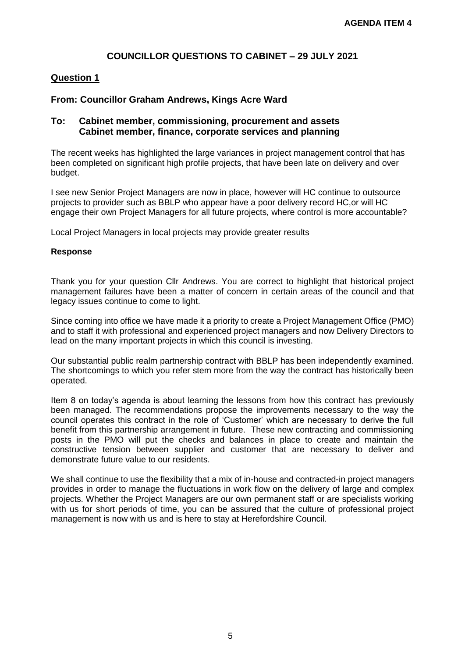#### **COUNCILLOR QUESTIONS TO CABINET – 29 JULY 2021**

#### **Question 1**

#### **From: Councillor Graham Andrews, Kings Acre Ward**

#### **To: Cabinet member, commissioning, procurement and assets Cabinet member, finance, corporate services and planning**

The recent weeks has highlighted the large variances in project management control that has been completed on significant high profile projects, that have been late on delivery and over budget.

I see new Senior Project Managers are now in place, however will HC continue to outsource projects to provider such as BBLP who appear have a poor delivery record HC,or will HC engage their own Project Managers for all future projects, where control is more accountable?

Local Project Managers in local projects may provide greater results

#### **Response**

Thank you for your question Cllr Andrews. You are correct to highlight that historical project management failures have been a matter of concern in certain areas of the council and that legacy issues continue to come to light.

Since coming into office we have made it a priority to create a Project Management Office (PMO) and to staff it with professional and experienced project managers and now Delivery Directors to lead on the many important projects in which this council is investing.

Our substantial public realm partnership contract with BBLP has been independently examined. The shortcomings to which you refer stem more from the way the contract has historically been operated.

Item 8 on today's agenda is about learning the lessons from how this contract has previously been managed. The recommendations propose the improvements necessary to the way the council operates this contract in the role of 'Customer' which are necessary to derive the full benefit from this partnership arrangement in future. These new contracting and commissioning posts in the PMO will put the checks and balances in place to create and maintain the constructive tension between supplier and customer that are necessary to deliver and demonstrate future value to our residents.

We shall continue to use the flexibility that a mix of in-house and contracted-in project managers provides in order to manage the fluctuations in work flow on the delivery of large and complex projects. Whether the Project Managers are our own permanent staff or are specialists working with us for short periods of time, you can be assured that the culture of professional project management is now with us and is here to stay at Herefordshire Council.